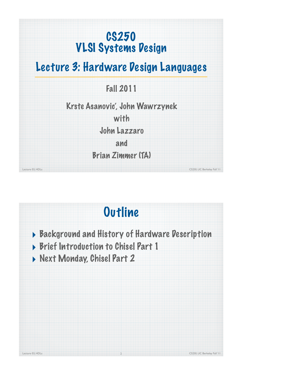# CS250 VLSI Systems Design

## Lecture 3: Hardware Design Languages

Fall 2011

Krste Asanovic', John Wawrzynek

with

John Lazzaro

and

Brian Zimmer (TA)

Lecture 03, HDLs CS250, UC Berkeley Fall '11

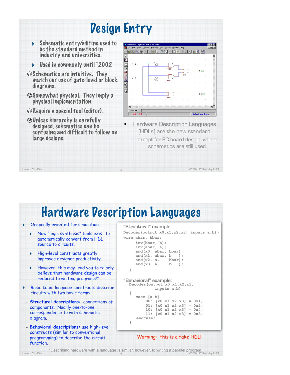

# Hardware Description Languages

| $\blacktriangleright$<br>$\blacktriangleright$<br>▶ | Originally invented for simulation.<br>Now "logic synthesis" tools exist to<br>automatically convert from HDL<br>source to circuits.<br>High-level constructs greatly<br>improves designer productivity. | "Structural" example:<br>Decoder (output $x0, x1, x2, x3$ ; inputs $a, b)$ )<br>wire abar, bbar;<br>$inv(bbar, b)$ ;<br>$inv(abar, a)$ ;<br>and(x0, abar, bbar);<br>and $(x1, abar, b)$ ;<br>and(x2, a, bbar); |
|-----------------------------------------------------|----------------------------------------------------------------------------------------------------------------------------------------------------------------------------------------------------------|----------------------------------------------------------------------------------------------------------------------------------------------------------------------------------------------------------------|
| Þ.                                                  | However, this may lead you to falsely<br>believe that hardware design can be<br>reduced to writing programs!*<br>Basic Idea: language constructs describe<br>circuits with two basic forms:              | and $(x3, a, b)$ ;<br>"Behavioral" example:<br>Decoder (output $x0, x1, x2, x3$ )<br>inputs a,b)                                                                                                               |
| diagram.                                            | - Structural descriptions: connections of<br>components. Nearly one-to-one<br>correspondence to with schematic                                                                                           | case [a b]<br>00: $[x0 x1 x2 x3] = 0x1;$<br>01: $[x0 x1 x2 x3] = 0x2;$<br>10: $[x0 x1 x2 x3] = 0x4;$<br>11: $[x0 x1 x2 x3] = 0x8$<br>endcase:                                                                  |
| function.                                           | - Behavioral descriptions: use high-level<br>constructs (similar to conventional<br>programming) to describe the circuit                                                                                 | Warning: this is a fake HDL!                                                                                                                                                                                   |

\*Describing hardware with a language is similar, however, to writing a parallel program.<br>Lecture 03, HDLs CS250, UC Berkeley Fall '11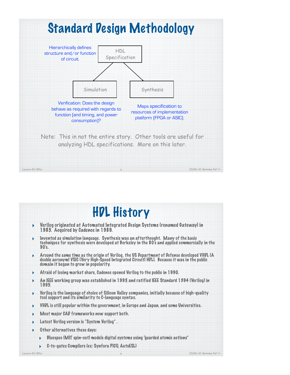

| <b>HDL History</b>                                                                                                   |
|----------------------------------------------------------------------------------------------------------------------|
| Verilog originated at Automated Integrated Design Systems (renamed Gateway) in<br>1985. Acquired by Cadence in 1989. |

- ‣ Invented as simulation language. Synthesis was an afterthought. Many of the basic techniques for synthesis were developed at Berkeley in the 80's and applied commercially in the 90's.
- ‣ Around the same time as the origin of Verilog, the US Department of Defense developed VHDL (A double acronym! VSIC (Very High-Speed Integrated Circuit) HDL). Because it was in the public domain it began to grow in popularity.
- ‣ Afraid of losing market share, Cadence opened Verilog to the public in 1990.
- ‣ An IEEE working group was established in 1993, and ratified IEEE Standard 1394 (Verilog) in 1995.
- $\blacktriangleright$  Verilog is the language of choice of Silicon Valley companies, initially because of high-quality tool support and its similarity to C-language syntax.
- ‣ VHDL is still popular within the government, in Europe and Japan, and some Universities.
- Most major CAD frameworks now support both.
- **Latest Verilog version is "System Verilog".**
- Other alternatives these days:
	- ‣ Bluespec (MIT spin-out) models digital systems using "guarded atomic actions"

6

‣ C-to-gates Compilers (ex: Synfora PICO, AutoESL)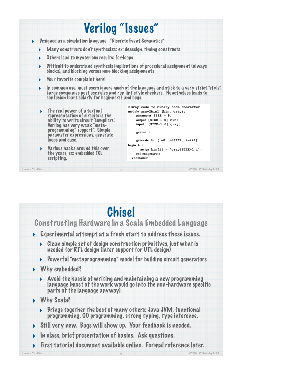

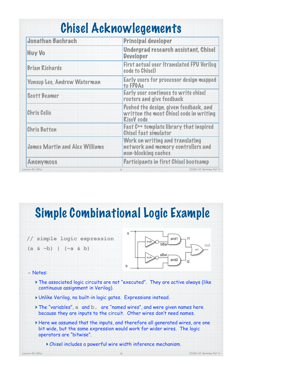|  | <b>Chisel Acknowlegements</b> |
|--|-------------------------------|
|  |                               |

| Jonathan Bachrach                     | Principal developer                                                                                    |
|---------------------------------------|--------------------------------------------------------------------------------------------------------|
| <b>Huy Vo</b>                         | Undergrad research assistant, Chisel<br><b>Developer</b>                                               |
| <b>Brian Richards</b>                 | First actual user (translated FPU Verilog<br>code to Chisel)                                           |
| Yunsup Lee, Andrew Waterman           | Early users for processor design mapped<br>to FPGAs                                                    |
| <b>Scott Beamer</b>                   | Early user continues to write chisel<br>routers and give feedback                                      |
| <b>Chris Celio</b>                    | Pushed the design, given feedback, and<br>written the most Chisel code in writing<br><b>RiscV</b> code |
| <b>Chris Batten</b>                   | Fast C++ template library that inspired<br><b>Chisel fast simulator</b>                                |
| <b>James Martin and Alex Williams</b> | Work on writing and translating<br>network and memory controllers and<br>non-blocking caches           |
| Anonymous                             | Participants in first Chisel bootcamp                                                                  |
| Lecture 03, HDLs                      | CS250, UC Berkeley Fall '11<br>$\overline{9}$                                                          |

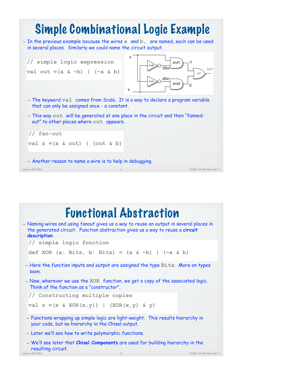

## Functional Abstraction

| - Naming wires and using fanout gives us a way to reuse an output in several places in<br>the generated circuit. Function abstraction gives us a way to reuse a circuit |                             |
|-------------------------------------------------------------------------------------------------------------------------------------------------------------------------|-----------------------------|
| description:                                                                                                                                                            |                             |
| // simple logic function                                                                                                                                                |                             |
| def XOR (a: Bits, b: Bits) = (a & ~b)   (~a & b)                                                                                                                        |                             |
| - Here the function inputs and output are assigned the type Bits. More on types<br>Soon.                                                                                |                             |
| - Now, wherever we use the XOR function, we get a copy of the associated logic.<br>Think of the function as a "constructor".                                            |                             |
| // Constructing multiple copies                                                                                                                                         |                             |
| val $z = (x \& XOR(x, y))$   $(XOR(x, y) & y)$                                                                                                                          |                             |
| - Functions wrapping up simple logic are light-weight. This results hierarchy in<br>your code, but no hierarchy in the Chisel output.                                   |                             |
| - Later we'll see how to write polymorphic functions.                                                                                                                   |                             |
| - We'll see later that Chisel Components are used for building hierarchy in the                                                                                         |                             |
| resulting circuit.<br>Lecture 03, HDLs<br> 2                                                                                                                            | CS250, UC Berkeley Fall '11 |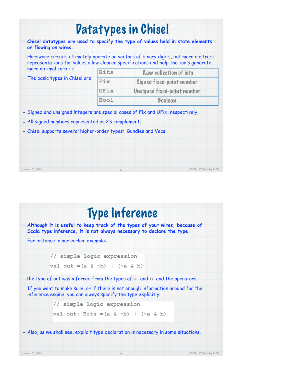|                                                                 |             | <b>Datatypes in Chisel</b>                                                                                                                                                   |
|-----------------------------------------------------------------|-------------|------------------------------------------------------------------------------------------------------------------------------------------------------------------------------|
| or flowing on wires.                                            |             | - Chisel datatypes are used to specify the type of values held in state elements                                                                                             |
|                                                                 |             | - Hardware circuits ultimately operate on vectors of binary digits, but more abstract<br>representations for values allow clearer specifications and help the tools generate |
| more optimal circuits.                                          | <b>Bits</b> | Raw collection of bits                                                                                                                                                       |
| - The basic types in Chisel are:                                | Fix         | Signed fixed-point number                                                                                                                                                    |
|                                                                 | UFix        | Unsigned fixed-point number                                                                                                                                                  |
|                                                                 | <b>Bool</b> | Boolean                                                                                                                                                                      |
|                                                                 |             | - Signed and unsigned integers are special cases of Fix and UFix, respectively.                                                                                              |
| - All signed numbers represented as 2's complement.             |             |                                                                                                                                                                              |
| - Chisel supports several higher-order types: Bundles and Vecs. |             |                                                                                                                                                                              |
|                                                                 |             |                                                                                                                                                                              |
|                                                                 |             |                                                                                                                                                                              |
|                                                                 |             |                                                                                                                                                                              |
|                                                                 |             |                                                                                                                                                                              |

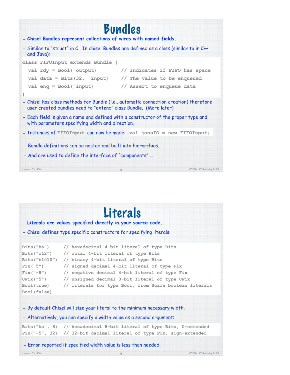|                                                                                                                                                           | <b>Bundles</b>                 |                              |
|-----------------------------------------------------------------------------------------------------------------------------------------------------------|--------------------------------|------------------------------|
| - Chisel Bundles represent collections of wires with named fields.                                                                                        |                                |                              |
| - Similar to "struct" in C. In chisel Bundles are defined as a class (similar to in C++<br>and Java):                                                     |                                |                              |
| class FIFOInput extends Bundle {                                                                                                                          |                                |                              |
| val $\text{rdy} = \text{Bool}$ ('output)                                                                                                                  | // Indicates if FIFO has space |                              |
| val data = Bits $(32, 'input)$ // The value to be enqueued                                                                                                |                                |                              |
| val $eng = Bool('input)$                                                                                                                                  | // Assert to enqueue data      |                              |
| $\mathcal{F}$                                                                                                                                             |                                |                              |
| - Chisel has class methods for Bundle (i.e., automatic connection creation) therefore<br>user created bundles need to "extend" class Bundle. (More later) |                                |                              |
| - Each field is given a name and defined with a constructor of the proper type and<br>with parameters specifying width and direction.                     |                                |                              |
| - Instances of FIFOInput can now be made: val jonsIO = new FIFOInput;                                                                                     |                                |                              |
| - Bundle definitions can be nested and built into hierarchies,                                                                                            |                                |                              |
| - And are used to define the interface of "components"                                                                                                    |                                |                              |
| Lecture 03, HDLs                                                                                                                                          | 15                             | CS250, UC Berkeley Fall 'I I |

### – **Literals are values specified directly in your source code.** – Chisel defines type specific constructors for specifying literals. Literals

|              | Bits("ha") // hexadecimal 4-bit literal of type Bits              |
|--------------|-------------------------------------------------------------------|
|              | Bits(" $012"$ ) // octal 4-bit literal of type Bits               |
|              | Bits ("b1010") // binary 4-bit literal of type Bits               |
| Fix("5")     | // signed decimal 4-bit literal of type Fix                       |
| $Fix('--8")$ | // negative decimal 4-bit literal of type Fix                     |
| UFix ("5")   | // unsigned decimal 3-bit literal of type UFix                    |
|              | Bool(true) // literals for type Bool, from Scala boolean literals |
| Bool (false) |                                                                   |
|              |                                                                   |

– By default Chisel will size your literal to the minimum necessary width.

– Alternatively, you can specify a width value as a second argument:

**Bits("ha", 8) // hexadecimal 8-bit literal of type Bits, 0-extended Fix("-5", 32) // 32-bit decimal literal of type Fix, sign-extended**

#### – Error reported if specified width value is less than needed.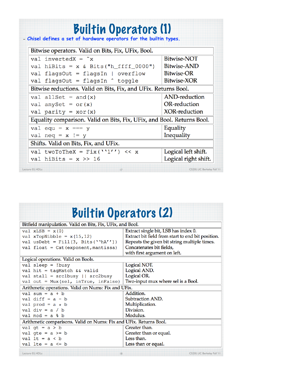| Bitwise operators. Valid on Bits, Fix, UFix, Bool.                     |                      |
|------------------------------------------------------------------------|----------------------|
| val invertedX = $x$                                                    | <b>Bitwise-NOT</b>   |
| val hiBits = $x \& Bits("h_fff_f_0000")$                               | Bitwise-AND          |
| val flagsOut = flagsIn   overflow                                      | <b>Bitwise-OR</b>    |
| val flagsOut = flagsIn ^ toggle                                        | Bitwise-XOR          |
| Bitwise reductions. Valid on Bits, Fix, and UFix. Returns Bool.        |                      |
| val allSet = $and(x)$                                                  | AND-reduction        |
| val anySet = $or(x)$                                                   | OR-reduction         |
| val parity = $xor(x)$                                                  | XOR-reduction        |
| Equality comparison. Valid on Bits, Fix, UFix, and Bool. Returns Bool. |                      |
| val equ = $x == y$                                                     | Equality             |
| val neq = $x$ != $y$                                                   | Inequality           |
| Shifts. Valid on Bits, Fix, and UFix.                                  |                      |
| val twoToTheX = $Fix(''1'') << x$                                      | Logical left shift.  |
| val hiBits = $x \gg 16$                                                | Logical right shift. |

|  | <b>Builtin Operators (2)</b> |  |
|--|------------------------------|--|
|  |                              |  |

| Bitfield manipulation. Valid on Bits, Fix, UFix, and Bool.         |                                                   |
|--------------------------------------------------------------------|---------------------------------------------------|
| val $xLSB = x(0)$                                                  | Extract single bit, LSB has index 0.              |
| val xTopNibble = $x(15, 12)$                                       | Extract bit field from start to end bit position. |
| val usDebt = Fill(3, Bits(''hA''))                                 | Repeats the given bit string multiple times.      |
| val $float = Cat(exponent, mantissa)$                              | Concatenates bit fields,                          |
|                                                                    | with first argument on left.                      |
| Logical operations. Valid on Bools.                                |                                                   |
| $val$ sleep = !busy                                                | Logical NOT.                                      |
| val hit = tagMatch && valid                                        | Logical AND.                                      |
| val stall = $src1busy$    $src2busy$                               | Logical OR.                                       |
| val out = $Mux(self, inTrue, inFalse)$                             | Two-input mux where sel is a Bool.                |
| Arithmetic operations. Valid on Nums: Fix and UFix.                |                                                   |
| val sum = $a + b$                                                  | Addition.                                         |
| val diff = $a - b$                                                 | Subtraction AND.                                  |
| val prod = $a * b$                                                 | Multiplication.                                   |
| val div = $a / b$                                                  | Division.                                         |
| $val \mod = a \land b$                                             | Modulus.                                          |
| Arithmetic comparisons. Valid on Nums: Fix and UFix. Returns Bool. |                                                   |
| val $gt = a > b$                                                   | Greater than.                                     |
| val gte = $a \ge b$                                                | Greater than or equal.                            |
| val $lt = a < b$                                                   | Less than.                                        |
| val lte = $a \le b$                                                | Less than or equal.                               |
| Lecture 03. HDLs<br> 8                                             | CS250, UC Berkeley Fall '11                       |